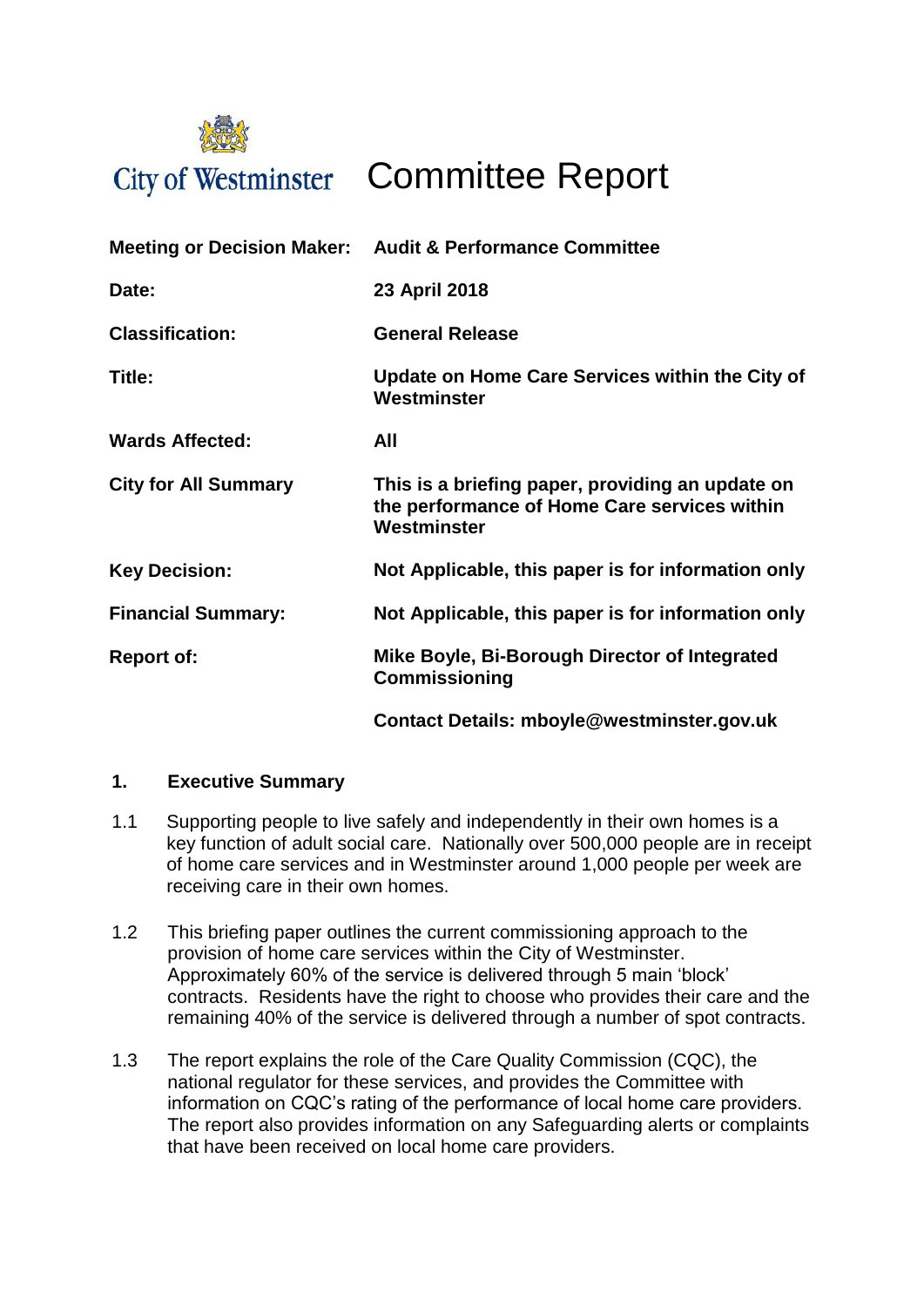

# City of Westminster Committee Report

|                             | Meeting or Decision Maker: Audit & Performance Committee                                                        |
|-----------------------------|-----------------------------------------------------------------------------------------------------------------|
| Date:                       | 23 April 2018                                                                                                   |
| <b>Classification:</b>      | <b>General Release</b>                                                                                          |
| Title:                      | Update on Home Care Services within the City of<br>Westminster                                                  |
| <b>Wards Affected:</b>      | All                                                                                                             |
| <b>City for All Summary</b> | This is a briefing paper, providing an update on<br>the performance of Home Care services within<br>Westminster |
| <b>Key Decision:</b>        | Not Applicable, this paper is for information only                                                              |
| <b>Financial Summary:</b>   | Not Applicable, this paper is for information only                                                              |
| <b>Report of:</b>           | Mike Boyle, Bi-Borough Director of Integrated<br><b>Commissioning</b>                                           |
|                             | Contact Details: mboyle@westminster.gov.uk                                                                      |

## **1. Executive Summary**

- 1.1 Supporting people to live safely and independently in their own homes is a key function of adult social care. Nationally over 500,000 people are in receipt of home care services and in Westminster around 1,000 people per week are receiving care in their own homes.
- 1.2 This briefing paper outlines the current commissioning approach to the provision of home care services within the City of Westminster. Approximately 60% of the service is delivered through 5 main 'block' contracts. Residents have the right to choose who provides their care and the remaining 40% of the service is delivered through a number of spot contracts.
- 1.3 The report explains the role of the Care Quality Commission (CQC), the national regulator for these services, and provides the Committee with information on CQC's rating of the performance of local home care providers. The report also provides information on any Safeguarding alerts or complaints that have been received on local home care providers.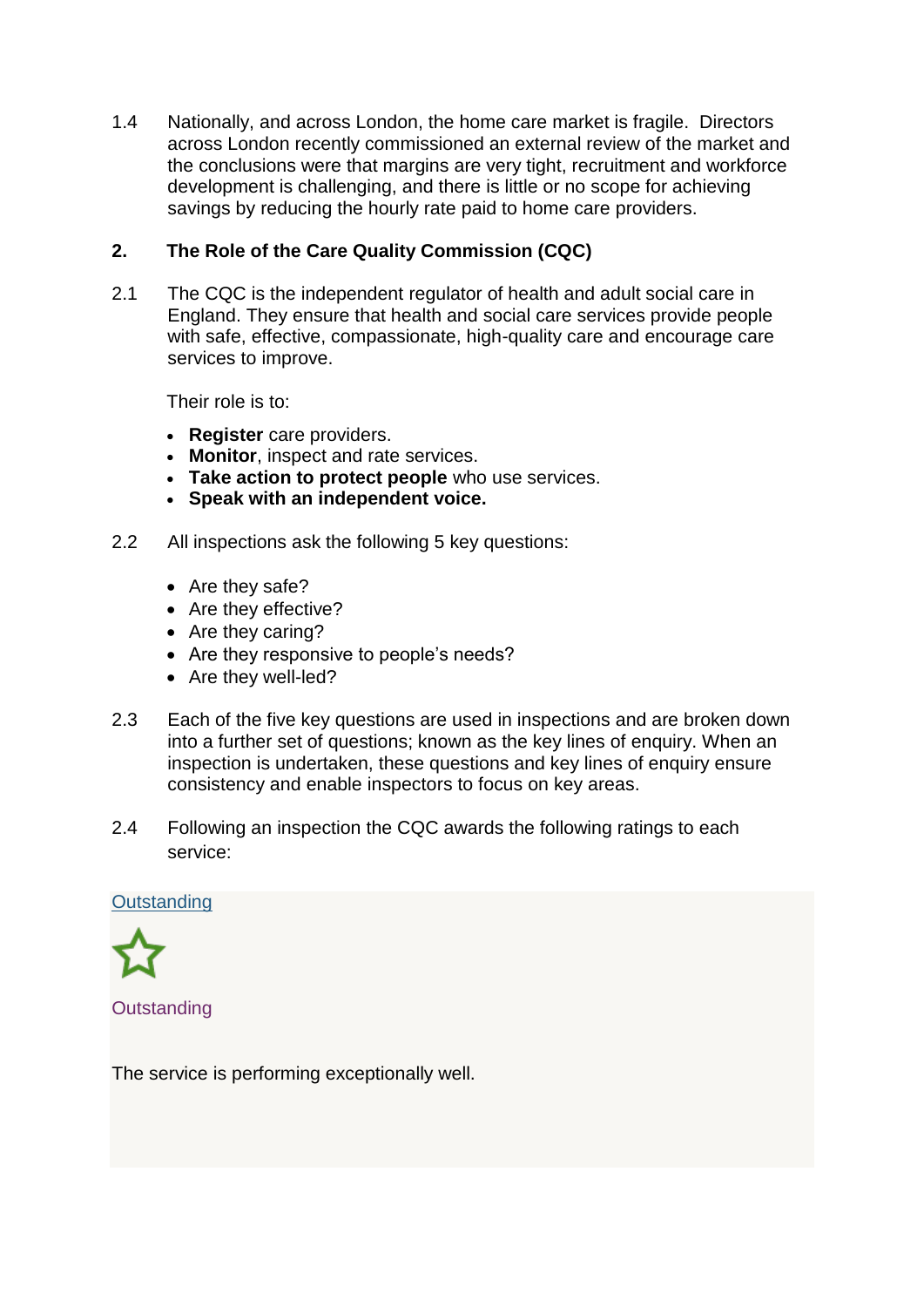1.4 Nationally, and across London, the home care market is fragile. Directors across London recently commissioned an external review of the market and the conclusions were that margins are very tight, recruitment and workforce development is challenging, and there is little or no scope for achieving savings by reducing the hourly rate paid to home care providers.

## **2. The Role of the Care Quality Commission (CQC)**

2.1 The CQC is the independent regulator of health and adult social care in England. They ensure that health and social care services provide people with safe, effective, compassionate, high-quality care and encourage care services to improve.

Their role is to:

- **[Register](http://www.cqc.org.uk/what-we-do/how-we-do-our-job/registering-monitoring-services)** care providers.
- **Monitor**, inspect and rate services.
- **[Take action to protect people](http://www.cqc.org.uk/what-we-do/how-we-do-our-job/taking-action)** who use services.
- **Speak with an independent voice.**
- 2.2 All inspections ask the following 5 key questions:
	- Are they safe?
	- Are they effective?
	- Are they caring?
	- Are they responsive to people's needs?
	- Are they well-led?
- 2.3 Each of the five key questions are used in inspections and are broken down into a further set of questions; known as the key lines of enquiry. When an inspection is undertaken, these questions and key lines of enquiry ensure consistency and enable inspectors to focus on key areas.
- 2.4 Following an inspection the CQC awards the following ratings to each service:

#### **[Outstanding](http://www.cqc.org.uk/file/170824)**



#### **Outstanding**

The service is performing exceptionally well.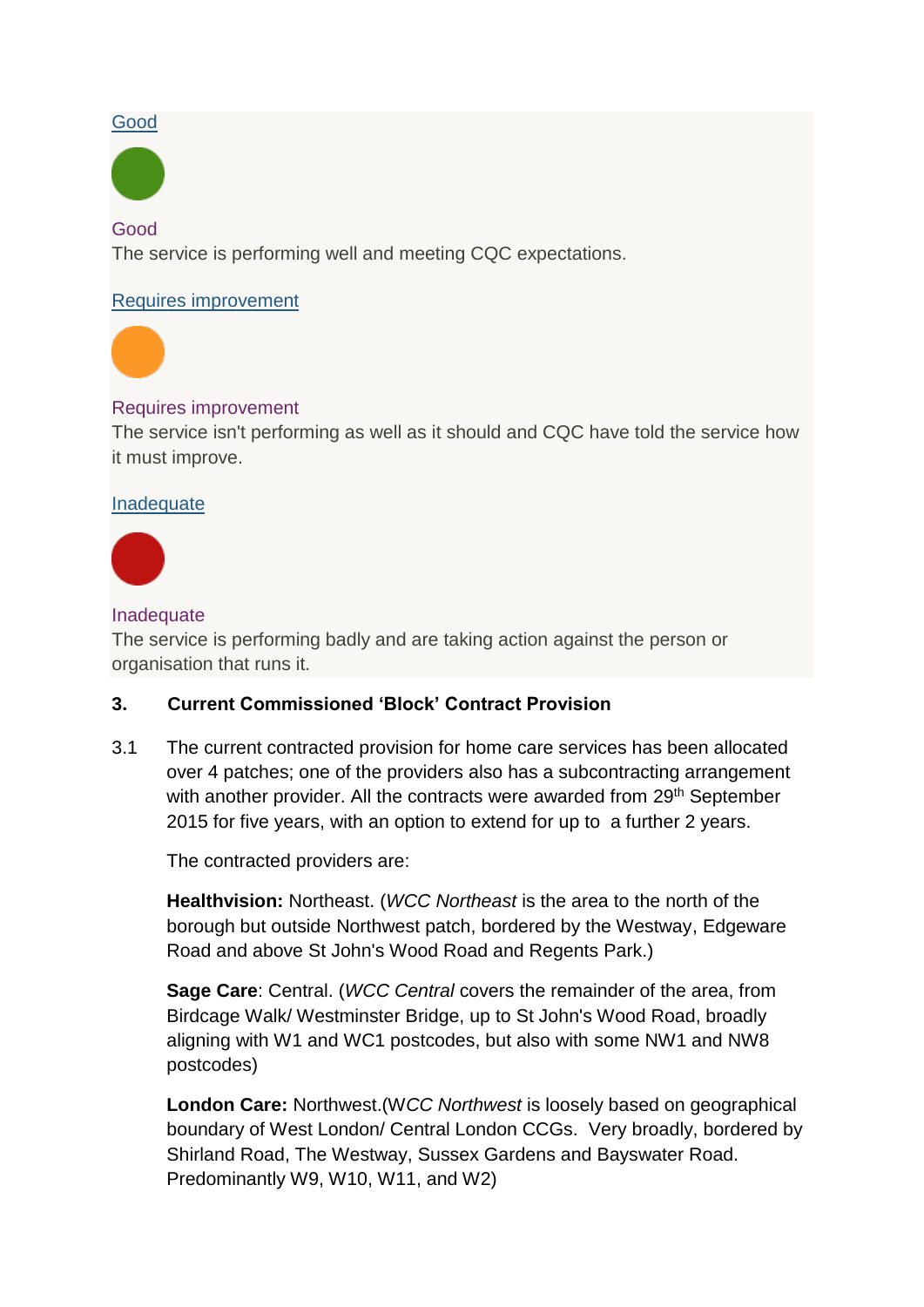## [Good](http://www.cqc.org.uk/file/170825)



#### Good

The service is performing well and meeting CQC expectations.

#### [Requires improvement](http://www.cqc.org.uk/file/170826)



## Requires improvement

The service isn't performing as well as it should and CQC have told the service how it must improve.

## [Inadequate](http://www.cqc.org.uk/file/170827)



## Inadequate

The service is performing badly and are taking action against the person or organisation that runs it.

## **3. Current Commissioned 'Block' Contract Provision**

3.1 The current contracted provision for home care services has been allocated over 4 patches; one of the providers also has a subcontracting arrangement with another provider. All the contracts were awarded from 29<sup>th</sup> September 2015 for five years, with an option to extend for up to a further 2 years.

The contracted providers are:

**Healthvision:** Northeast. (*WCC Northeast* is the area to the north of the borough but outside Northwest patch, bordered by the Westway, Edgeware Road and above St John's Wood Road and Regents Park.)

**Sage Care**: Central. (*WCC Central* covers the remainder of the area, from Birdcage Walk/ Westminster Bridge, up to St John's Wood Road, broadly aligning with W1 and WC1 postcodes, but also with some NW1 and NW8 postcodes)

**London Care:** Northwest.(W*CC Northwest* is loosely based on geographical boundary of West London/ Central London CCGs. Very broadly, bordered by Shirland Road, The Westway, Sussex Gardens and Bayswater Road. Predominantly W9, W10, W11, and W2)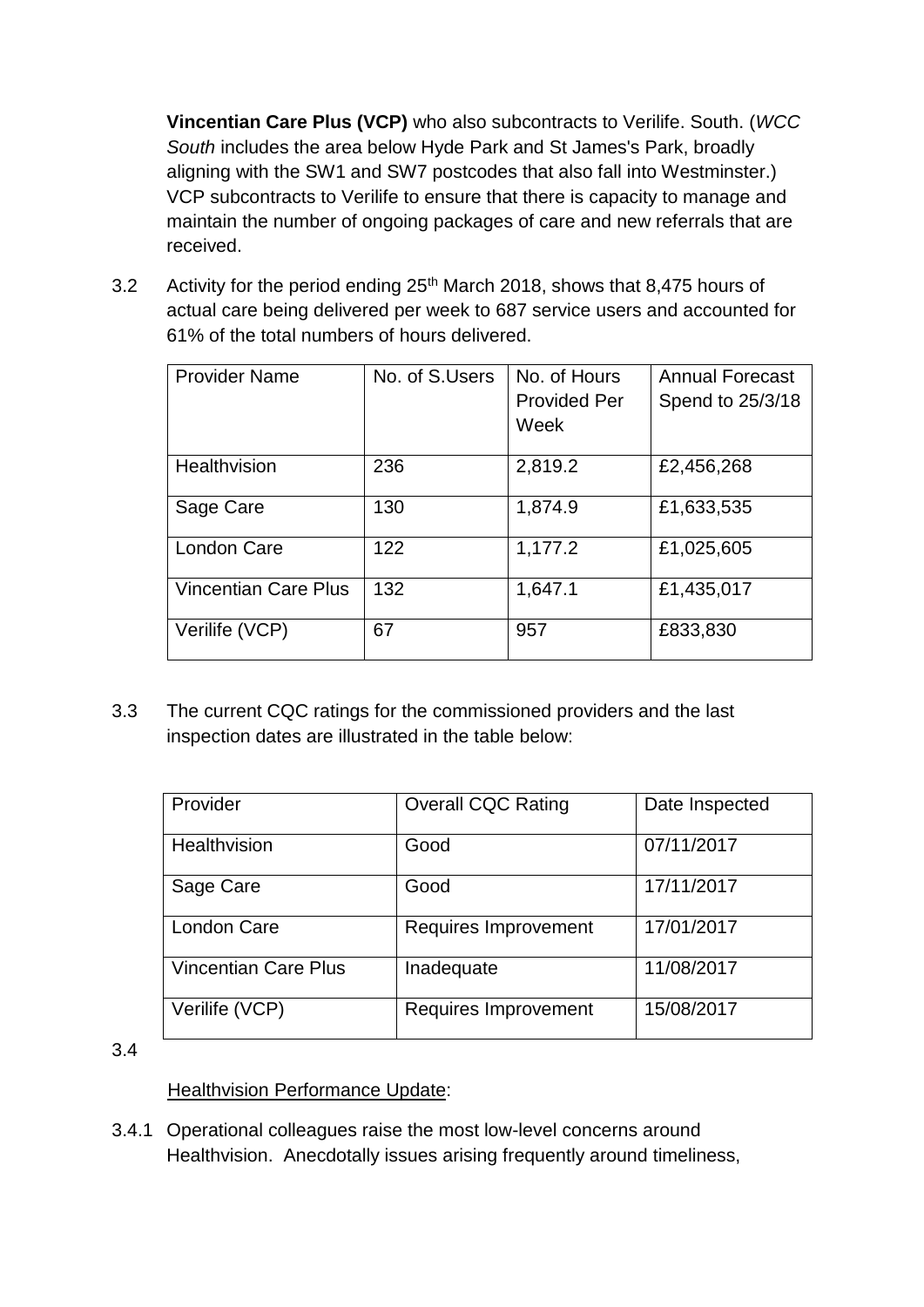**Vincentian Care Plus (VCP)** who also subcontracts to Verilife. South. (*WCC South* includes the area below Hyde Park and St James's Park, broadly aligning with the SW1 and SW7 postcodes that also fall into Westminster.) VCP subcontracts to Verilife to ensure that there is capacity to manage and maintain the number of ongoing packages of care and new referrals that are received.

3.2 Activity for the period ending 25<sup>th</sup> March 2018, shows that 8,475 hours of actual care being delivered per week to 687 service users and accounted for 61% of the total numbers of hours delivered.

| <b>Provider Name</b>        | No. of S.Users | No. of Hours<br><b>Provided Per</b><br>Week | <b>Annual Forecast</b><br>Spend to 25/3/18 |
|-----------------------------|----------------|---------------------------------------------|--------------------------------------------|
| Healthvision                | 236            | 2,819.2                                     | £2,456,268                                 |
| Sage Care                   | 130            | 1,874.9                                     | £1,633,535                                 |
| <b>London Care</b>          | 122            | 1,177.2                                     | £1,025,605                                 |
| <b>Vincentian Care Plus</b> | 132            | 1,647.1                                     | £1,435,017                                 |
| Verilife (VCP)              | 67             | 957                                         | £833,830                                   |

3.3 The current CQC ratings for the commissioned providers and the last inspection dates are illustrated in the table below:

| Provider                    | <b>Overall CQC Rating</b> | Date Inspected |
|-----------------------------|---------------------------|----------------|
| Healthvision                | Good                      | 07/11/2017     |
| Sage Care                   | Good                      | 17/11/2017     |
| <b>London Care</b>          | Requires Improvement      | 17/01/2017     |
| <b>Vincentian Care Plus</b> | Inadequate                | 11/08/2017     |
| Verilife (VCP)              | Requires Improvement      | 15/08/2017     |

3.4

# Healthvision Performance Update:

3.4.1 Operational colleagues raise the most low-level concerns around Healthvision. Anecdotally issues arising frequently around timeliness,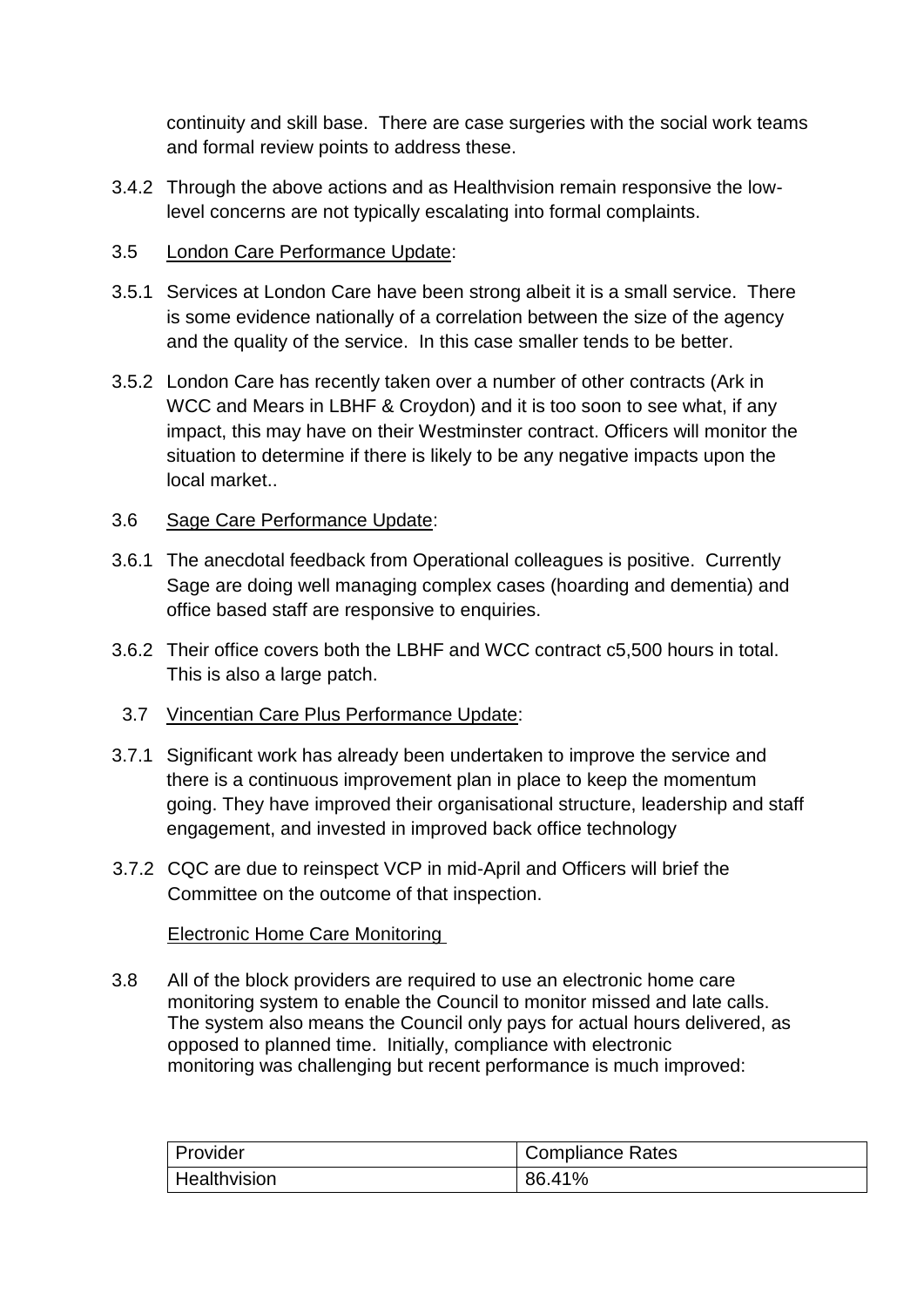continuity and skill base. There are case surgeries with the social work teams and formal review points to address these.

- 3.4.2 Through the above actions and as Healthvision remain responsive the lowlevel concerns are not typically escalating into formal complaints.
- 3.5 London Care Performance Update:
- 3.5.1 Services at London Care have been strong albeit it is a small service. There is some evidence nationally of a correlation between the size of the agency and the quality of the service. In this case smaller tends to be better.
- 3.5.2 London Care has recently taken over a number of other contracts (Ark in WCC and Mears in LBHF & Croydon) and it is too soon to see what, if any impact, this may have on their Westminster contract. Officers will monitor the situation to determine if there is likely to be any negative impacts upon the local market..

## 3.6 Sage Care Performance Update:

- 3.6.1 The anecdotal feedback from Operational colleagues is positive. Currently Sage are doing well managing complex cases (hoarding and dementia) and office based staff are responsive to enquiries.
- 3.6.2 Their office covers both the LBHF and WCC contract c5,500 hours in total. This is also a large patch.
- 3.7 Vincentian Care Plus Performance Update:
- 3.7.1 Significant work has already been undertaken to improve the service and there is a continuous improvement plan in place to keep the momentum going. They have improved their organisational structure, leadership and staff engagement, and invested in improved back office technology
- 3.7.2 CQC are due to reinspect VCP in mid-April and Officers will brief the Committee on the outcome of that inspection.

## Electronic Home Care Monitoring

3.8 All of the block providers are required to use an electronic home care monitoring system to enable the Council to monitor missed and late calls. The system also means the Council only pays for actual hours delivered, as opposed to planned time. Initially, compliance with electronic monitoring was challenging but recent performance is much improved:

| Provider            | Compliance Rates |
|---------------------|------------------|
| <b>Healthvision</b> | 86.41%           |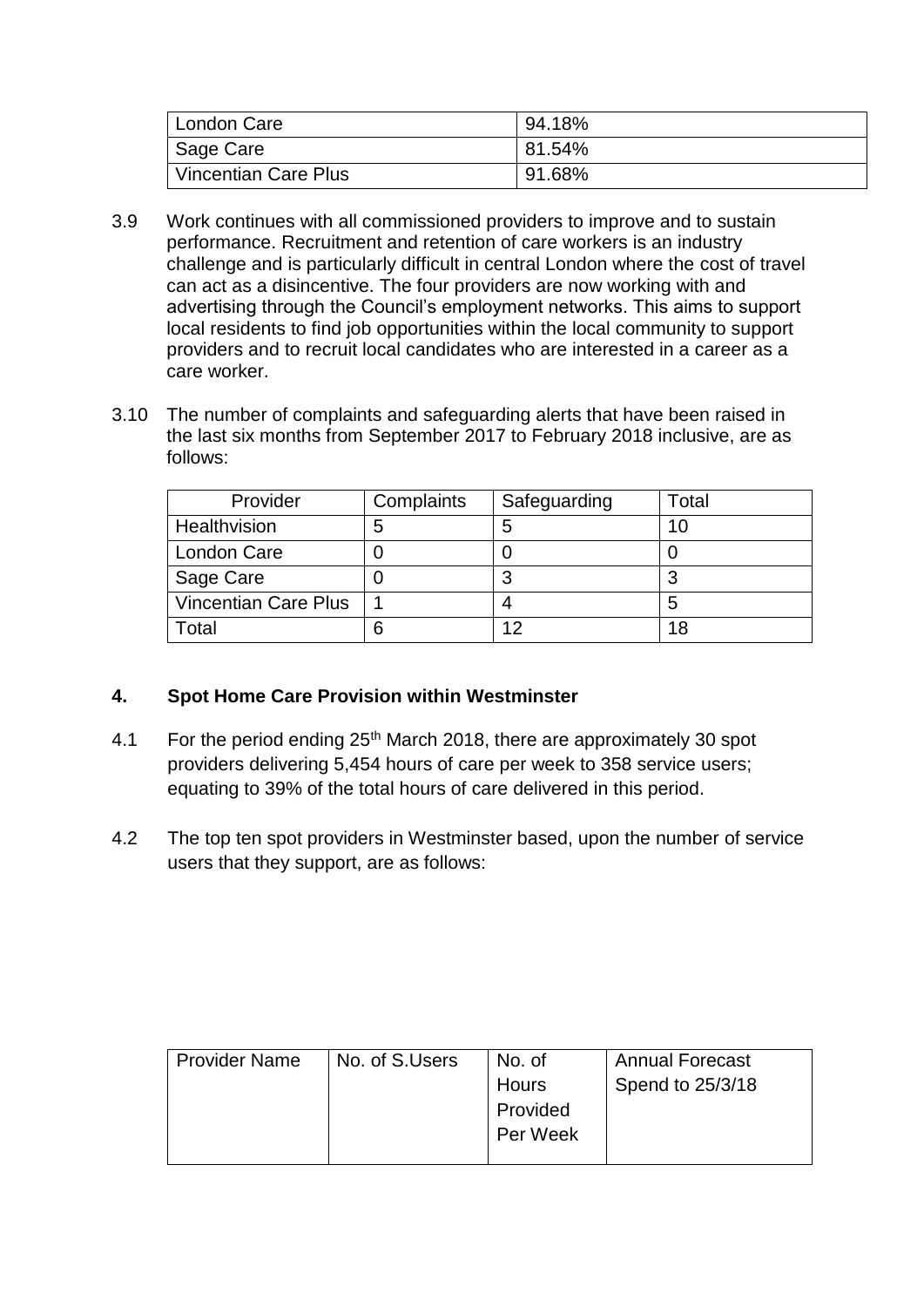| London Care                 | 94.18%  |
|-----------------------------|---------|
| Sage Care                   | 181.54% |
| <b>Vincentian Care Plus</b> | 91.68%  |

- 3.9 Work continues with all commissioned providers to improve and to sustain performance. Recruitment and retention of care workers is an industry challenge and is particularly difficult in central London where the cost of travel can act as a disincentive. The four providers are now working with and advertising through the Council's employment networks. This aims to support local residents to find job opportunities within the local community to support providers and to recruit local candidates who are interested in a career as a care worker.
- 3.10 The number of complaints and safeguarding alerts that have been raised in the last six months from September 2017 to February 2018 inclusive, are as follows:

| Provider                    | Complaints | Safeguarding | Total |
|-----------------------------|------------|--------------|-------|
| Healthvision                | 5          |              | 10    |
| London Care                 |            |              |       |
| Sage Care                   |            |              | З     |
| <b>Vincentian Care Plus</b> |            |              | 5     |
| Гоtal                       | 6          | 12           | 18    |

## **4. Spot Home Care Provision within Westminster**

- 4.1 For the period ending  $25<sup>th</sup>$  March 2018, there are approximately 30 spot providers delivering 5,454 hours of care per week to 358 service users; equating to 39% of the total hours of care delivered in this period.
- 4.2 The top ten spot providers in Westminster based, upon the number of service users that they support, are as follows:

| <b>Provider Name</b> | No. of S.Users | No. of       | <b>Annual Forecast</b> |
|----------------------|----------------|--------------|------------------------|
|                      |                | <b>Hours</b> | Spend to 25/3/18       |
|                      |                | Provided     |                        |
|                      |                | Per Week     |                        |
|                      |                |              |                        |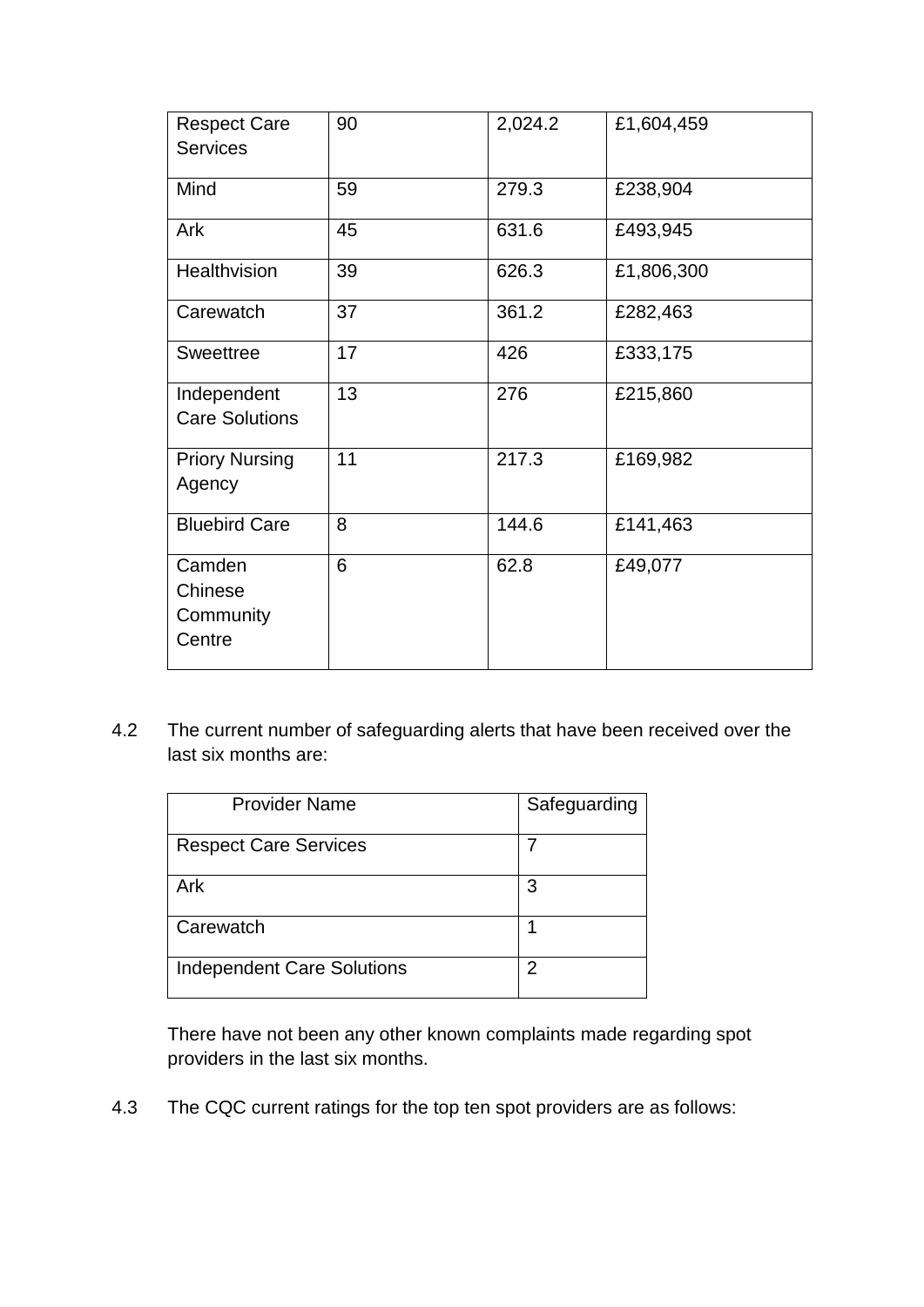| <b>Respect Care</b>   | 90 | 2,024.2 | £1,604,459 |
|-----------------------|----|---------|------------|
| <b>Services</b>       |    |         |            |
|                       |    |         |            |
| Mind                  | 59 | 279.3   | £238,904   |
|                       |    |         |            |
| Ark                   | 45 | 631.6   | £493,945   |
|                       |    |         |            |
| Healthvision          | 39 | 626.3   | £1,806,300 |
|                       |    |         |            |
| Carewatch             | 37 | 361.2   | £282,463   |
|                       |    |         |            |
| <b>Sweettree</b>      | 17 | 426     | £333,175   |
|                       |    |         |            |
| Independent           | 13 | 276     | £215,860   |
| <b>Care Solutions</b> |    |         |            |
|                       |    |         |            |
| <b>Priory Nursing</b> | 11 | 217.3   | £169,982   |
| Agency                |    |         |            |
|                       |    |         |            |
| <b>Bluebird Care</b>  | 8  | 144.6   | £141,463   |
|                       |    |         |            |
| Camden                | 6  | 62.8    | £49,077    |
| Chinese               |    |         |            |
|                       |    |         |            |
| Community             |    |         |            |
| Centre                |    |         |            |
|                       |    |         |            |

4.2 The current number of safeguarding alerts that have been received over the last six months are:

| <b>Provider Name</b>              | Safeguarding |
|-----------------------------------|--------------|
| <b>Respect Care Services</b>      | 7            |
| Ark                               | 3            |
| Carewatch                         | 1            |
| <b>Independent Care Solutions</b> | 2            |

There have not been any other known complaints made regarding spot providers in the last six months.

4.3 The CQC current ratings for the top ten spot providers are as follows: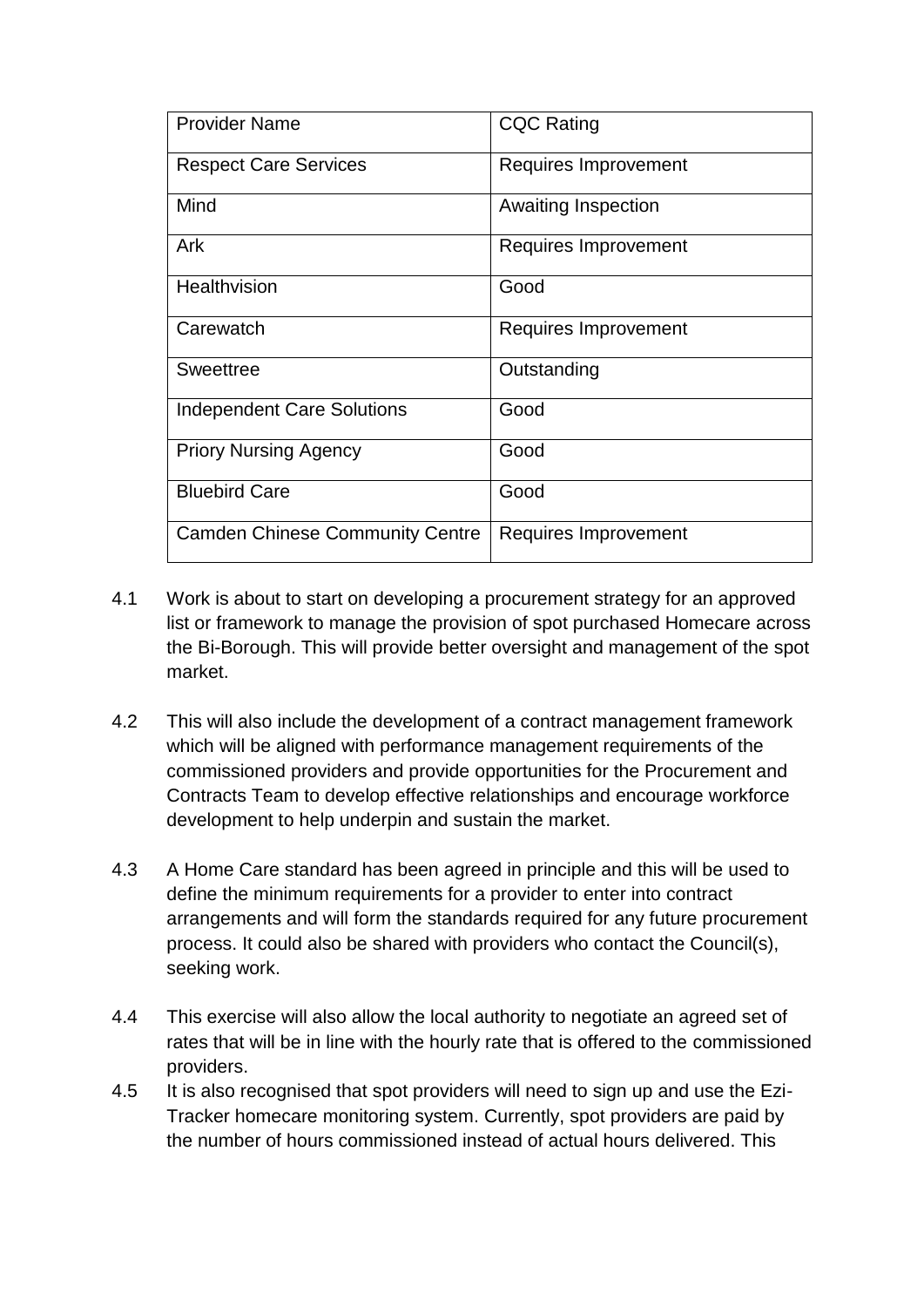| <b>Provider Name</b>                   | <b>CQC Rating</b>          |
|----------------------------------------|----------------------------|
| <b>Respect Care Services</b>           | Requires Improvement       |
| Mind                                   | <b>Awaiting Inspection</b> |
| Ark                                    | Requires Improvement       |
| Healthvision                           | Good                       |
| Carewatch                              | Requires Improvement       |
| <b>Sweettree</b>                       | Outstanding                |
| <b>Independent Care Solutions</b>      | Good                       |
| <b>Priory Nursing Agency</b>           | Good                       |
| <b>Bluebird Care</b>                   | Good                       |
| <b>Camden Chinese Community Centre</b> | Requires Improvement       |

- 4.1 Work is about to start on developing a procurement strategy for an approved list or framework to manage the provision of spot purchased Homecare across the Bi-Borough. This will provide better oversight and management of the spot market.
- 4.2 This will also include the development of a contract management framework which will be aligned with performance management requirements of the commissioned providers and provide opportunities for the Procurement and Contracts Team to develop effective relationships and encourage workforce development to help underpin and sustain the market.
- 4.3 A Home Care standard has been agreed in principle and this will be used to define the minimum requirements for a provider to enter into contract arrangements and will form the standards required for any future procurement process. It could also be shared with providers who contact the Council(s), seeking work.
- 4.4 This exercise will also allow the local authority to negotiate an agreed set of rates that will be in line with the hourly rate that is offered to the commissioned providers.
- 4.5 It is also recognised that spot providers will need to sign up and use the Ezi-Tracker homecare monitoring system. Currently, spot providers are paid by the number of hours commissioned instead of actual hours delivered. This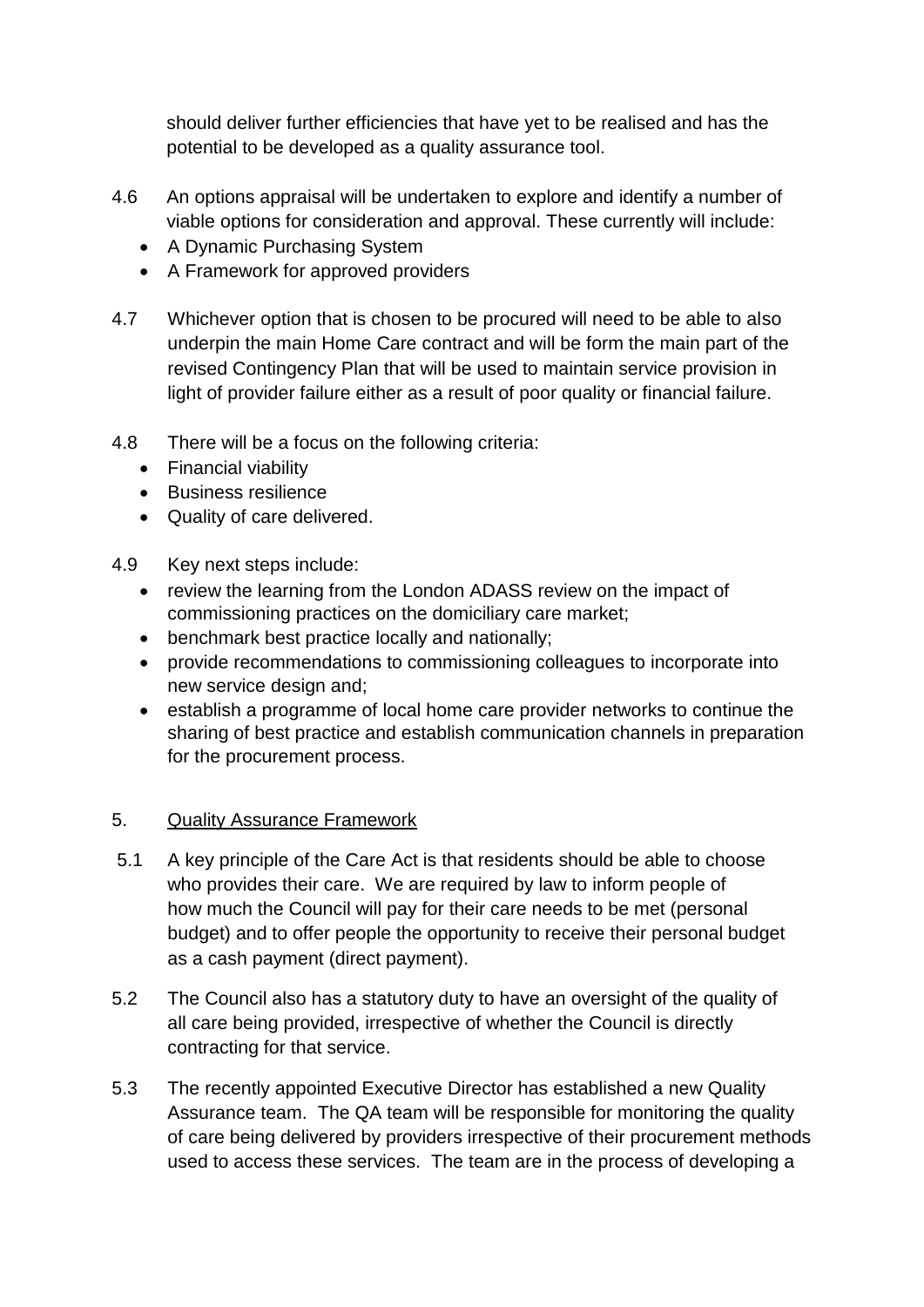should deliver further efficiencies that have yet to be realised and has the potential to be developed as a quality assurance tool.

- 4.6 An options appraisal will be undertaken to explore and identify a number of viable options for consideration and approval. These currently will include:
	- A Dynamic Purchasing System
	- A Framework for approved providers
- 4.7 Whichever option that is chosen to be procured will need to be able to also underpin the main Home Care contract and will be form the main part of the revised Contingency Plan that will be used to maintain service provision in light of provider failure either as a result of poor quality or financial failure.
- 4.8 There will be a focus on the following criteria:
	- Financial viability
	- Business resilience
	- Quality of care delivered.
- 4.9 Key next steps include:
	- review the learning from the London ADASS review on the impact of commissioning practices on the domiciliary care market;
	- benchmark best practice locally and nationally;
	- provide recommendations to commissioning colleagues to incorporate into new service design and;
	- establish a programme of local home care provider networks to continue the sharing of best practice and establish communication channels in preparation for the procurement process.

## 5. Quality Assurance Framework

- 5.1 A key principle of the Care Act is that residents should be able to choose who provides their care. We are required by law to inform people of how much the Council will pay for their care needs to be met (personal budget) and to offer people the opportunity to receive their personal budget as a cash payment (direct payment).
- 5.2 The Council also has a statutory duty to have an oversight of the quality of all care being provided, irrespective of whether the Council is directly contracting for that service.
- 5.3 The recently appointed Executive Director has established a new Quality Assurance team. The QA team will be responsible for monitoring the quality of care being delivered by providers irrespective of their procurement methods used to access these services. The team are in the process of developing a